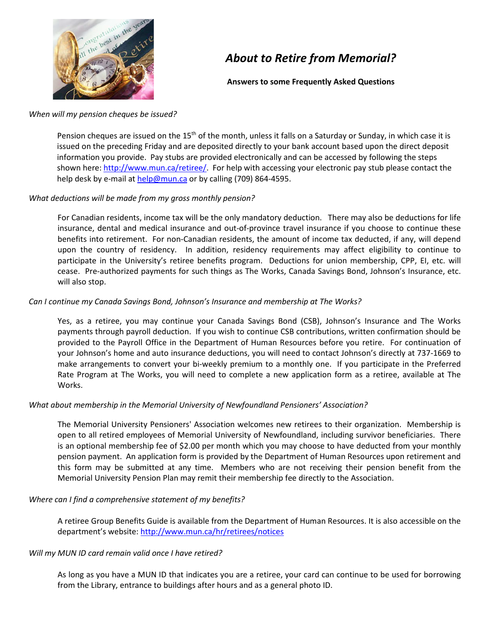

# *About to Retire from Memorial?*

**Answers to some Frequently Asked Questions**

### *When will my pension cheques be issued?*

Pension cheques are issued on the  $15<sup>th</sup>$  of the month, unless it falls on a Saturday or Sunday, in which case it is issued on the preceding Friday and are deposited directly to your bank account based upon the direct deposit information you provide. Pay stubs are provided electronically and can be accessed by following the steps shown here[: http://www.mun.ca/retiree/.](http://www.mun.ca/retiree/) For help with accessing your electronic pay stub please contact the help desk by e-mail a[t help@mun.ca](mailto:help@mun.ca) or by calling (709) 864-4595.

# *What deductions will be made from my gross monthly pension?*

For Canadian residents, income tax will be the only mandatory deduction. There may also be deductions for life insurance, dental and medical insurance and out-of-province travel insurance if you choose to continue these benefits into retirement. For non-Canadian residents, the amount of income tax deducted, if any, will depend upon the country of residency. In addition, residency requirements may affect eligibility to continue to participate in the University's retiree benefits program. Deductions for union membership, CPP, EI, etc. will cease. Pre-authorized payments for such things as The Works, Canada Savings Bond, Johnson's Insurance, etc. will also stop.

# *Can I continue my Canada Savings Bond, Johnson's Insurance and membership at The Works?*

Yes, as a retiree, you may continue your Canada Savings Bond (CSB), Johnson's Insurance and The Works payments through payroll deduction. If you wish to continue CSB contributions, written confirmation should be provided to the Payroll Office in the Department of Human Resources before you retire. For continuation of your Johnson's home and auto insurance deductions, you will need to contact Johnson's directly at 737-1669 to make arrangements to convert your bi-weekly premium to a monthly one. If you participate in the Preferred Rate Program at The Works, you will need to complete a new application form as a retiree, available at The Works.

## *What about membership in the Memorial University of Newfoundland Pensioners' Association?*

The Memorial University Pensioners' Association welcomes new retirees to their organization. Membership is open to all retired employees of Memorial University of Newfoundland, including survivor beneficiaries. There is an optional membership fee of \$2.00 per month which you may choose to have deducted from your monthly pension payment. An application form is provided by the Department of Human Resources upon retirement and this form may be submitted at any time. Members who are not receiving their pension benefit from the Memorial University Pension Plan may remit their membership fee directly to the Association.

## *Where can I find a comprehensive statement of my benefits?*

A retiree Group Benefits Guide is available from the Department of Human Resources. It is also accessible on the department's website[: http://www.mun.ca/hr/retirees/notices](http://www.mun.ca/hr/retirees/notices)

## *Will my MUN ID card remain valid once I have retired?*

As long as you have a MUN ID that indicates you are a retiree, your card can continue to be used for borrowing from the Library, entrance to buildings after hours and as a general photo ID.